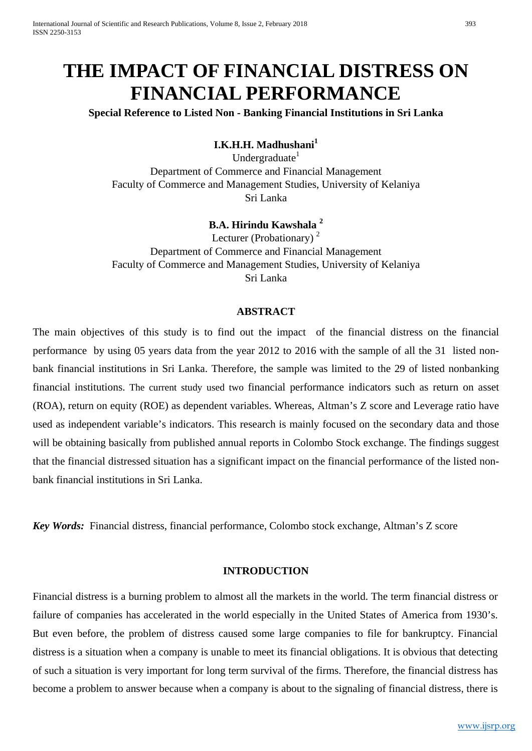# **THE IMPACT OF FINANCIAL DISTRESS ON FINANCIAL PERFORMANCE**

# **Special Reference to Listed Non - Banking Financial Institutions in Sri Lanka**

# **I.K.H.H. Madhushani<sup>1</sup>**

Undergraduate $1$ Department of Commerce and Financial Management Faculty of Commerce and Management Studies, University of Kelaniya Sri Lanka

## **B.A. Hirindu Kawshala 2**

Lecturer (Probationary)<sup>2</sup> Department of Commerce and Financial Management Faculty of Commerce and Management Studies, University of Kelaniya Sri Lanka

#### **ABSTRACT**

The main objectives of this study is to find out the impact of the financial distress on the financial performance by using 05 years data from the year 2012 to 2016 with the sample of all the 31 listed nonbank financial institutions in Sri Lanka. Therefore, the sample was limited to the 29 of listed nonbanking financial institutions. The current study used two financial performance indicators such as return on asset (ROA), return on equity (ROE) as dependent variables. Whereas, Altman's Z score and Leverage ratio have used as independent variable's indicators. This research is mainly focused on the secondary data and those will be obtaining basically from published annual reports in Colombo Stock exchange. The findings suggest that the financial distressed situation has a significant impact on the financial performance of the listed nonbank financial institutions in Sri Lanka.

*Key Words:* Financial distress, financial performance, Colombo stock exchange, Altman's Z score

#### **INTRODUCTION**

Financial distress is a burning problem to almost all the markets in the world. The term financial distress or failure of companies has accelerated in the world especially in the United States of America from 1930's. But even before, the problem of distress caused some large companies to file for bankruptcy. Financial distress is a situation when a company is unable to meet its financial obligations. It is obvious that detecting of such a situation is very important for long term survival of the firms. Therefore, the financial distress has become a problem to answer because when a company is about to the signaling of financial distress, there is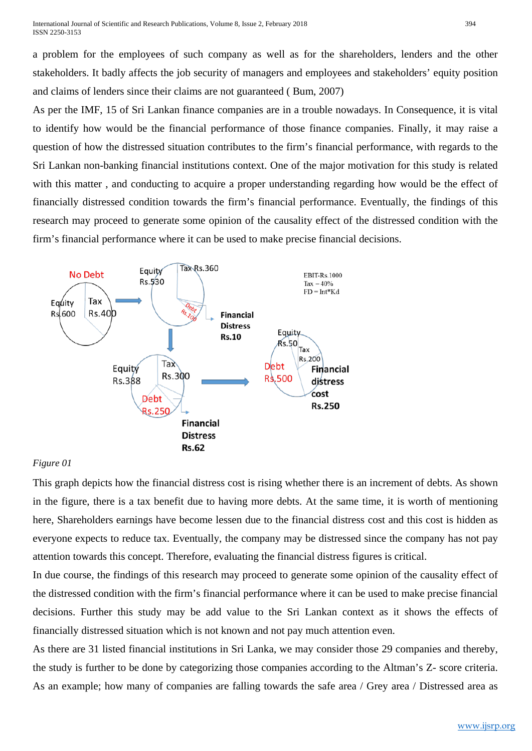a problem for the employees of such company as well as for the shareholders, lenders and the other stakeholders. It badly affects the job security of managers and employees and stakeholders' equity position and claims of lenders since their claims are not guaranteed ( Bum, 2007)

As per the IMF, 15 of Sri Lankan finance companies are in a trouble nowadays. In Consequence, it is vital to identify how would be the financial performance of those finance companies. Finally, it may raise a question of how the distressed situation contributes to the firm's financial performance, with regards to the Sri Lankan non-banking financial institutions context. One of the major motivation for this study is related with this matter, and conducting to acquire a proper understanding regarding how would be the effect of financially distressed condition towards the firm's financial performance. Eventually, the findings of this research may proceed to generate some opinion of the causality effect of the distressed condition with the firm's financial performance where it can be used to make precise financial decisions.



## *Figure 01*

This graph depicts how the financial distress cost is rising whether there is an increment of debts. As shown in the figure, there is a tax benefit due to having more debts. At the same time, it is worth of mentioning here, Shareholders earnings have become lessen due to the financial distress cost and this cost is hidden as everyone expects to reduce tax. Eventually, the company may be distressed since the company has not pay attention towards this concept. Therefore, evaluating the financial distress figures is critical.

In due course, the findings of this research may proceed to generate some opinion of the causality effect of the distressed condition with the firm's financial performance where it can be used to make precise financial decisions. Further this study may be add value to the Sri Lankan context as it shows the effects of financially distressed situation which is not known and not pay much attention even.

As there are 31 listed financial institutions in Sri Lanka, we may consider those 29 companies and thereby, the study is further to be done by categorizing those companies according to the Altman's Z- score criteria. As an example; how many of companies are falling towards the safe area / Grey area / Distressed area as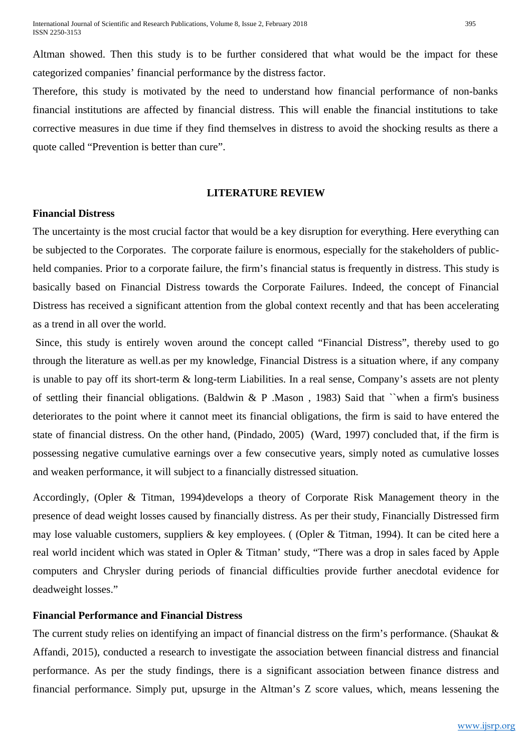Altman showed. Then this study is to be further considered that what would be the impact for these categorized companies' financial performance by the distress factor.

Therefore, this study is motivated by the need to understand how financial performance of non-banks financial institutions are affected by financial distress. This will enable the financial institutions to take corrective measures in due time if they find themselves in distress to avoid the shocking results as there a quote called "Prevention is better than cure".

#### **LITERATURE REVIEW**

#### **Financial Distress**

The uncertainty is the most crucial factor that would be a key disruption for everything. Here everything can be subjected to the Corporates. The corporate failure is enormous, especially for the stakeholders of publicheld companies. Prior to a corporate failure, the firm's financial status is frequently in distress. This study is basically based on Financial Distress towards the Corporate Failures. Indeed, the concept of Financial Distress has received a significant attention from the global context recently and that has been accelerating as a trend in all over the world.

Since, this study is entirely woven around the concept called "Financial Distress", thereby used to go through the literature as well.as per my knowledge, Financial Distress is a situation where, if any company is unable to pay off its short-term & long-term Liabilities. In a real sense, Company's assets are not plenty of settling their financial obligations. (Baldwin & P .Mason , 1983) Said that ``when a firm's business deteriorates to the point where it cannot meet its financial obligations, the firm is said to have entered the state of financial distress. On the other hand, (Pindado, 2005) (Ward, 1997) concluded that, if the firm is possessing negative cumulative earnings over a few consecutive years, simply noted as cumulative losses and weaken performance, it will subject to a financially distressed situation.

Accordingly, (Opler & Titman, 1994)develops a theory of Corporate Risk Management theory in the presence of dead weight losses caused by financially distress. As per their study, Financially Distressed firm may lose valuable customers, suppliers & key employees. ( (Opler & Titman, 1994). It can be cited here a real world incident which was stated in Opler & Titman' study, "There was a drop in sales faced by Apple computers and Chrysler during periods of financial difficulties provide further anecdotal evidence for deadweight losses."

#### **Financial Performance and Financial Distress**

The current study relies on identifying an impact of financial distress on the firm's performance. (Shaukat & Affandi, 2015), conducted a research to investigate the association between financial distress and financial performance. As per the study findings, there is a significant association between finance distress and financial performance. Simply put, upsurge in the Altman's Z score values, which, means lessening the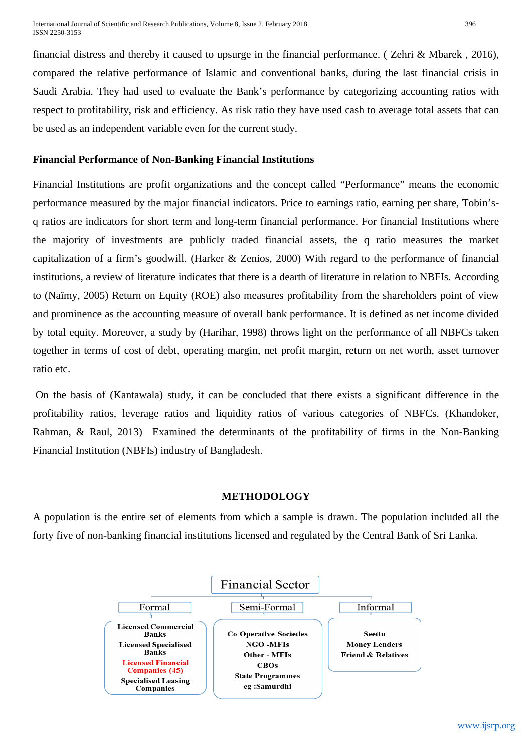financial distress and thereby it caused to upsurge in the financial performance. ( Zehri & Mbarek , 2016), compared the relative performance of Islamic and conventional banks, during the last financial crisis in Saudi Arabia. They had used to evaluate the Bank's performance by categorizing accounting ratios with respect to profitability, risk and efficiency. As risk ratio they have used cash to average total assets that can be used as an independent variable even for the current study.

## **Financial Performance of Non-Banking Financial Institutions**

Financial Institutions are profit organizations and the concept called "Performance" means the economic performance measured by the major financial indicators. Price to earnings ratio, earning per share, Tobin'sq ratios are indicators for short term and long-term financial performance. For financial Institutions where the majority of investments are publicly traded financial assets, the q ratio measures the market capitalization of a firm's goodwill. (Harker & Zenios, 2000) With regard to the performance of financial institutions, a review of literature indicates that there is a dearth of literature in relation to NBFIs. According to (Naïmy, 2005) Return on Equity (ROE) also measures profitability from the shareholders point of view and prominence as the accounting measure of overall bank performance. It is defined as net income divided by total equity. Moreover, a study by (Harihar, 1998) throws light on the performance of all NBFCs taken together in terms of cost of debt, operating margin, net profit margin, return on net worth, asset turnover ratio etc.

On the basis of (Kantawala) study, it can be concluded that there exists a significant difference in the profitability ratios, leverage ratios and liquidity ratios of various categories of NBFCs. (Khandoker, Rahman, & Raul, 2013) Examined the determinants of the profitability of firms in the Non-Banking Financial Institution (NBFIs) industry of Bangladesh.

## **METHODOLOGY**

A population is the entire set of elements from which a sample is drawn. The population included all the forty five of non-banking financial institutions licensed and regulated by the Central Bank of Sri Lanka.

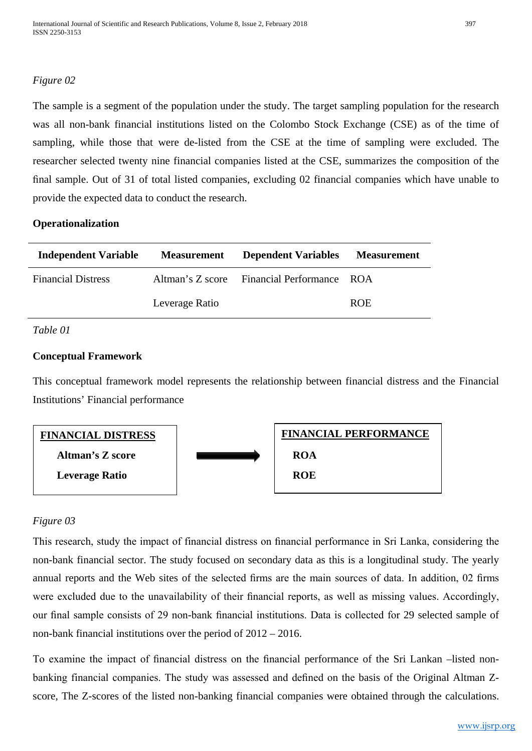# *Figure 02*

The sample is a segment of the population under the study. The target sampling population for the research was all non-bank financial institutions listed on the Colombo Stock Exchange (CSE) as of the time of sampling, while those that were de-listed from the CSE at the time of sampling were excluded. The researcher selected twenty nine financial companies listed at the CSE, summarizes the composition of the final sample. Out of 31 of total listed companies, excluding 02 financial companies which have unable to provide the expected data to conduct the research.

## **Operationalization**

| <b>Independent Variable</b> | <b>Measurement</b> | <b>Dependent Variables</b>                 | <b>Measurement</b> |
|-----------------------------|--------------------|--------------------------------------------|--------------------|
| <b>Financial Distress</b>   |                    | Altman's Z score Financial Performance ROA |                    |
|                             | Leverage Ratio     |                                            | <b>ROE</b>         |

## *Table 01*

## **Conceptual Framework**

This conceptual framework model represents the relationship between financial distress and the Financial Institutions' Financial performance



# *Figure 03*

This research, study the impact of financial distress on financial performance in Sri Lanka, considering the non-bank financial sector. The study focused on secondary data as this is a longitudinal study. The yearly annual reports and the Web sites of the selected firms are the main sources of data. In addition, 02 firms were excluded due to the unavailability of their financial reports, as well as missing values. Accordingly, our final sample consists of 29 non-bank financial institutions. Data is collected for 29 selected sample of non-bank financial institutions over the period of 2012 – 2016.

To examine the impact of financial distress on the financial performance of the Sri Lankan –listed nonbanking financial companies. The study was assessed and defined on the basis of the Original Altman Zscore, The Z-scores of the listed non-banking financial companies were obtained through the calculations.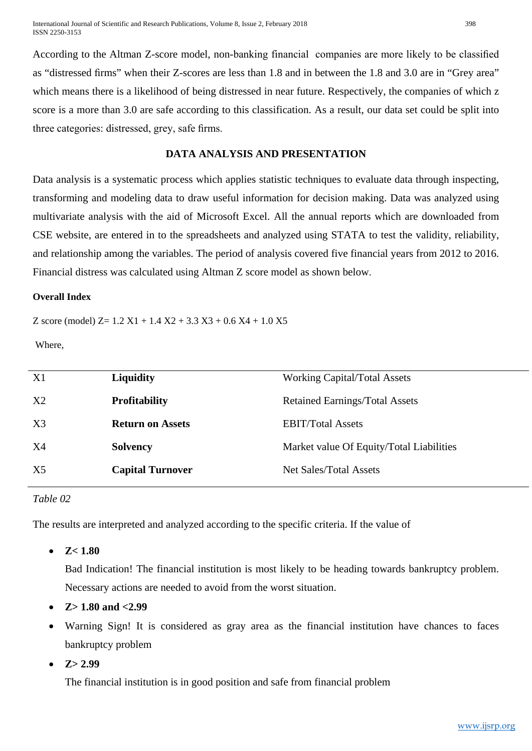International Journal of Scientific and Research Publications, Volume 8, Issue 2, February 2018 398 ISSN 2250-3153

According to the Altman Z-score model, non-banking financial companies are more likely to be classified as "distressed firms" when their Z-scores are less than 1.8 and in between the 1.8 and 3.0 are in "Grey area" which means there is a likelihood of being distressed in near future. Respectively, the companies of which z score is a more than 3.0 are safe according to this classification. As a result, our data set could be split into three categories: distressed, grey, safe firms.

## **DATA ANALYSIS AND PRESENTATION**

Data analysis is a systematic process which applies statistic techniques to evaluate data through inspecting, transforming and modeling data to draw useful information for decision making. Data was analyzed using multivariate analysis with the aid of Microsoft Excel. All the annual reports which are downloaded from CSE website, are entered in to the spreadsheets and analyzed using STATA to test the validity, reliability, and relationship among the variables. The period of analysis covered five financial years from 2012 to 2016. Financial distress was calculated using Altman Z score model as shown below.

#### **Overall Index**

Z score (model) Z=  $1.2$  X1 +  $1.4$  X2 +  $3.3$  X3 +  $0.6$  X4 +  $1.0$  X5

Where,

| <b>Liquidity</b>        | <b>Working Capital/Total Assets</b>      |
|-------------------------|------------------------------------------|
| <b>Profitability</b>    | <b>Retained Earnings/Total Assets</b>    |
| <b>Return on Assets</b> | <b>EBIT/Total Assets</b>                 |
| <b>Solvency</b>         | Market value Of Equity/Total Liabilities |
| <b>Capital Turnover</b> | Net Sales/Total Assets                   |
|                         |                                          |

#### *Table 02*

The results are interpreted and analyzed according to the specific criteria. If the value of

• **Z< 1.80** 

Bad Indication! The financial institution is most likely to be heading towards bankruptcy problem. Necessary actions are needed to avoid from the worst situation.

- **Z> 1.80 and <2.99**
- Warning Sign! It is considered as gray area as the financial institution have chances to faces bankruptcy problem
- $Z > 2.99$

The financial institution is in good position and safe from financial problem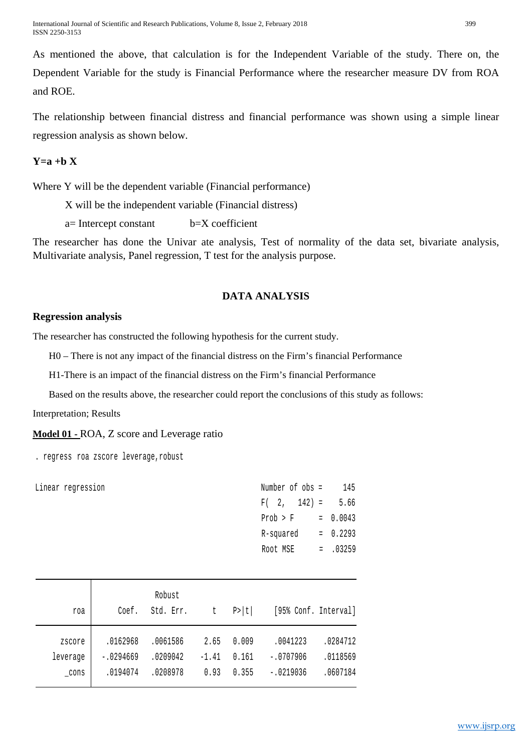International Journal of Scientific and Research Publications, Volume 8, Issue 2, February 2018 399 ISSN 2250-3153

As mentioned the above, that calculation is for the Independent Variable of the study. There on, the Dependent Variable for the study is Financial Performance where the researcher measure DV from ROA and ROE.

The relationship between financial distress and financial performance was shown using a simple linear regression analysis as shown below.

## $Y=a + b X$

Where Y will be the dependent variable (Financial performance)

X will be the independent variable (Financial distress)

a= Intercept constant b=X coefficient

The researcher has done the Univar ate analysis, Test of normality of the data set, bivariate analysis, Multivariate analysis, Panel regression, T test for the analysis purpose.

#### **DATA ANALYSIS**

#### **Regression analysis**

The researcher has constructed the following hypothesis for the current study.

H0 – There is not any impact of the financial distress on the Firm's financial Performance

H1-There is an impact of the financial distress on the Firm's financial Performance

Based on the results above, the researcher could report the conclusions of this study as follows:

Interpretation; Results

**Model 01 -** ROA, Z score and Leverage ratio

. regress roa zscore leverage,robust

Linear regression

| 145    |
|--------|
| 5.66   |
| 0.0043 |
| 0.2293 |
| .03259 |
|        |

| roa                | Coef.                   | Robust<br>Std. Err.  | t               | P >  t         | [95% Conf. Interval]    |                      |
|--------------------|-------------------------|----------------------|-----------------|----------------|-------------------------|----------------------|
| zscore<br>leverage | .0162968<br>$-.0294669$ | .0061586<br>.0209042 | 2.65<br>$-1.41$ | 0.009<br>0.161 | .0041223<br>$-.0707906$ | .0284712<br>.0118569 |
| cons               | .0194074                | .0208978             | 0.93            | 0.355          | $-.0219036$             | .0607184             |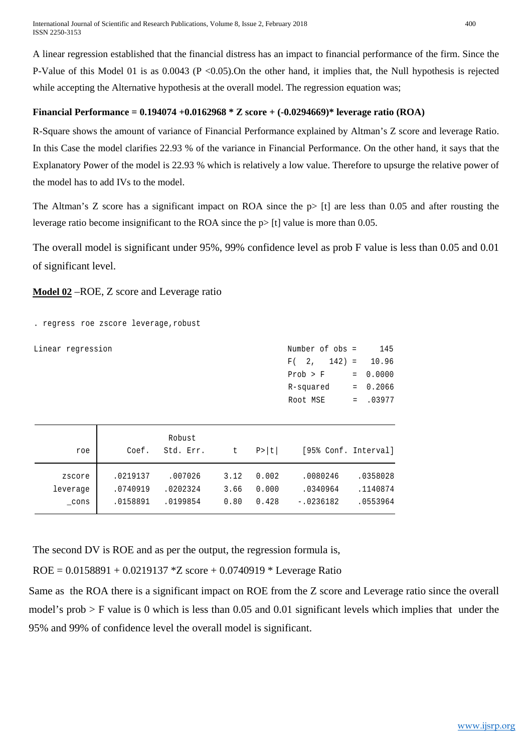A linear regression established that the financial distress has an impact to financial performance of the firm. Since the P-Value of this Model 01 is as 0.0043 (P <0.05).On the other hand, it implies that, the Null hypothesis is rejected while accepting the Alternative hypothesis at the overall model. The regression equation was;

#### **Financial Performance = 0.194074 +0.0162968 \* Z score + (-0.0294669)\* leverage ratio (ROA)**

R-Square shows the amount of variance of Financial Performance explained by Altman's Z score and leverage Ratio. In this Case the model clarifies 22.93 % of the variance in Financial Performance. On the other hand, it says that the Explanatory Power of the model is 22.93 % which is relatively a low value. Therefore to upsurge the relative power of the model has to add IVs to the model.

The Altman's Z score has a significant impact on ROA since the  $p$  [t] are less than 0.05 and after rousting the leverage ratio become insignificant to the ROA since the  $p$  [t] value is more than 0.05.

The overall model is significant under 95%, 99% confidence level as prob F value is less than 0.05 and 0.01 of significant level.

## **Model 02** –ROE, Z score and Leverage ratio

. regress roe zscore leverage,robust

| Linear regression |      |          |           |      |        | Number of obs =      |     | 145      |
|-------------------|------|----------|-----------|------|--------|----------------------|-----|----------|
|                   |      |          |           |      |        | $142$ =<br>2,<br>F(  |     | 10.96    |
|                   |      |          |           |      |        | Prob > F             | $=$ | 0.0000   |
|                   |      |          |           |      |        | R-squared            | $=$ | 0.2066   |
|                   |      |          |           |      |        | Root MSE             | $=$ | .03977   |
|                   |      |          |           |      |        |                      |     |          |
|                   |      |          |           |      |        |                      |     |          |
|                   |      |          | Robust    |      |        |                      |     |          |
|                   | roe  | Coef.    | Std. Err. | t    | P >  t | [95% Conf. Interval] |     |          |
|                   |      |          |           |      |        |                      |     |          |
| zscore            |      | .0219137 | .007026   | 3.12 | 0.002  | .0080246             |     | .0358028 |
| leverage          |      | .0740919 | .0202324  | 3.66 | 0.000  | .0340964             |     | .1140874 |
|                   | cons | .0158891 | .0199854  | 0.80 | 0.428  | $-.0236182$          |     | .0553964 |

The second DV is ROE and as per the output, the regression formula is,

 $ROE = 0.0158891 + 0.0219137 * Z$  score + 0.0740919 \* Leverage Ratio

Same as the ROA there is a significant impact on ROE from the Z score and Leverage ratio since the overall model's prob > F value is 0 which is less than 0.05 and 0.01 significant levels which implies that under the 95% and 99% of confidence level the overall model is significant.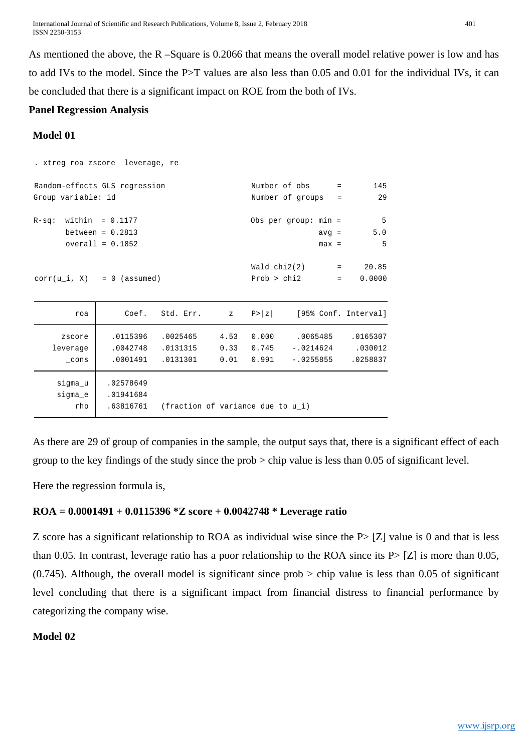International Journal of Scientific and Research Publications, Volume 8, Issue 2, February 2018 401 ISSN 2250-3153

As mentioned the above, the R –Square is 0.2066 that means the overall model relative power is low and has to add IVs to the model. Since the P>T values are also less than 0.05 and 0.01 for the individual IVs, it can be concluded that there is a significant impact on ROE from the both of IVs.

# **Panel Regression Analysis**

## **Model 01**

| . xtreg roa zscore leverage, re |                    |                                   |      |             |                        |                                                      |          |
|---------------------------------|--------------------|-----------------------------------|------|-------------|------------------------|------------------------------------------------------|----------|
| Random-effects GLS regression   |                    |                                   |      |             | Number of obs =        |                                                      | 145      |
| Group variable: id              |                    |                                   |      |             | Number of groups       | $=$                                                  | 29       |
| $R-sq$ : within = 0.1177        |                    |                                   |      |             | Obs per group: $min =$ |                                                      | 5        |
|                                 | between = $0.2813$ |                                   |      |             |                        | $avg =$                                              | 5.0      |
|                                 | overall = $0.1852$ |                                   |      |             |                        | $max =$                                              | 5        |
|                                 |                    |                                   |      |             |                        |                                                      |          |
|                                 |                    |                                   |      |             | Wald $chi2(2)$ = 20.85 |                                                      |          |
| $corr(u_i, X) = 0$ (assumed)    |                    |                                   |      | Prob > chi2 |                        | $\alpha$ , $\alpha$ , $\alpha$ , $\alpha$ , $\alpha$ | 0.0000   |
|                                 |                    |                                   |      |             |                        |                                                      |          |
| roa                             |                    | Coef. Std. Err. z                 |      | P >  z      | [95% Conf. Interval]   |                                                      |          |
| zscore                          | .0115396           | .0025465                          |      | 4.53 0.000  | .0065485               |                                                      | .0165307 |
| leverage                        | .0042748           | .0131315                          | 0.33 | 0.745       | $-.0214624$            |                                                      | .030012  |
| cons                            | .0001491           | .0131301                          | 0.01 | 0.991       | $-.0255855$            |                                                      | .0258837 |
| sigma_u                         | .02578649          |                                   |      |             |                        |                                                      |          |
|                                 |                    |                                   |      |             |                        |                                                      |          |
| sigma_e                         | .01941684          |                                   |      |             |                        |                                                      |          |
| rho                             | .63816761          | (fraction of variance due to u i) |      |             |                        |                                                      |          |

As there are 29 of group of companies in the sample, the output says that, there is a significant effect of each group to the key findings of the study since the prob > chip value is less than 0.05 of significant level.

Here the regression formula is,

## **ROA = 0.0001491 + 0.0115396 \*Z score + 0.0042748 \* Leverage ratio**

Z score has a significant relationship to ROA as individual wise since the P> [Z] value is 0 and that is less than 0.05. In contrast, leverage ratio has a poor relationship to the ROA since its  $P > [Z]$  is more than 0.05,  $(0.745)$ . Although, the overall model is significant since prob  $>$  chip value is less than 0.05 of significant level concluding that there is a significant impact from financial distress to financial performance by categorizing the company wise.

# **Model 02**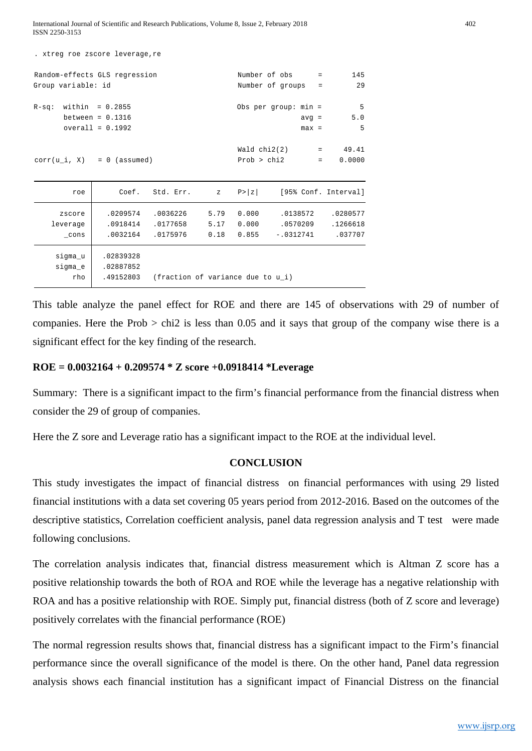International Journal of Scientific and Research Publications, Volume 8, Issue 2, February 2018 402 ISSN 2250-3153

| . xtreg roe zscore leverage, re                     |                    |                                   |              |        |                                     |                      |                      |
|-----------------------------------------------------|--------------------|-----------------------------------|--------------|--------|-------------------------------------|----------------------|----------------------|
| Random-effects GLS regression<br>Group variable: id |                    |                                   |              |        | Number of obs<br>Number of groups = | <b>Service</b> State | 145<br>29            |
|                                                     |                    |                                   |              |        |                                     |                      |                      |
| $R-sq$ : within = 0.2855                            |                    |                                   |              |        | Obs per group: $min =$              |                      | 5                    |
|                                                     | between = $0.1316$ |                                   |              |        | $avg =$                             |                      | 5.0                  |
|                                                     | $overall = 0.1992$ |                                   |              |        | $max =$                             |                      | 5                    |
|                                                     |                    |                                   |              |        |                                     |                      |                      |
|                                                     |                    |                                   |              |        | $Wald chi2(2) =$                    |                      | 49.41                |
| $corr(u_i, X) = 0$ (assumed)                        |                    |                                   |              |        | Prob > chi2                         | $=$                  | 0.0000               |
|                                                     |                    |                                   |              |        |                                     |                      |                      |
| roe                                                 |                    | Coef. Std. Err.                   | $\mathbf{z}$ | P >  z |                                     |                      | [95% Conf. Interval] |
| zscore                                              |                    | .0209574 .0036226                 | 5.79         | 0.000  | .0138572                            |                      | .0280577             |
| leverage                                            |                    | .0918414 .0177658                 | 5.17         | 0.000  | .0570209                            |                      | .1266618             |
| cons                                                |                    | .0032164.0175976                  | 0.18         | 0.855  | $-.0312741$                         |                      | .037707              |
| sigma u                                             | .02839328          |                                   |              |        |                                     |                      |                      |
| sigma_e                                             | .02887852          |                                   |              |        |                                     |                      |                      |
| rho                                                 | .49152803          | (fraction of variance due to u i) |              |        |                                     |                      |                      |

This table analyze the panel effect for ROE and there are 145 of observations with 29 of number of companies. Here the Prob  $>$  chi2 is less than 0.05 and it says that group of the company wise there is a significant effect for the key finding of the research.

#### **ROE = 0.0032164 + 0.209574 \* Z score +0.0918414 \*Leverage**

Summary: There is a significant impact to the firm's financial performance from the financial distress when consider the 29 of group of companies.

Here the Z sore and Leverage ratio has a significant impact to the ROE at the individual level.

#### **CONCLUSION**

This study investigates the impact of financial distress on financial performances with using 29 listed financial institutions with a data set covering 05 years period from 2012-2016. Based on the outcomes of the descriptive statistics, Correlation coefficient analysis, panel data regression analysis and T test were made following conclusions.

The correlation analysis indicates that, financial distress measurement which is Altman Z score has a positive relationship towards the both of ROA and ROE while the leverage has a negative relationship with ROA and has a positive relationship with ROE. Simply put, financial distress (both of Z score and leverage) positively correlates with the financial performance (ROE)

The normal regression results shows that, financial distress has a significant impact to the Firm's financial performance since the overall significance of the model is there. On the other hand, Panel data regression analysis shows each financial institution has a significant impact of Financial Distress on the financial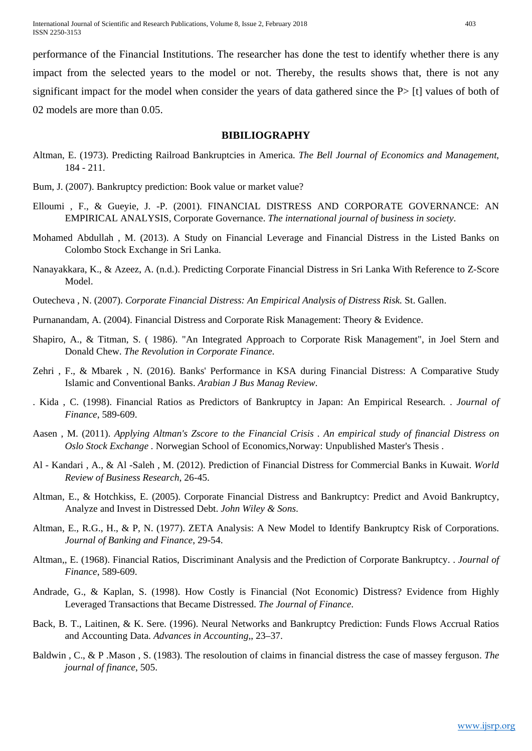International Journal of Scientific and Research Publications, Volume 8, Issue 2, February 2018 403 ISSN 2250-3153

performance of the Financial Institutions. The researcher has done the test to identify whether there is any impact from the selected years to the model or not. Thereby, the results shows that, there is not any significant impact for the model when consider the years of data gathered since the P> [t] values of both of

02 models are more than 0.05.

#### **BIBILIOGRAPHY**

- Altman, E. (1973). Predicting Railroad Bankruptcies in America. *The Bell Journal of Economics and Management*, 184 - 211.
- Bum, J. (2007). Bankruptcy prediction: Book value or market value?
- Elloumi , F., & Gueyie, J. -P. (2001). FINANCIAL DISTRESS AND CORPORATE GOVERNANCE: AN EMPIRICAL ANALYSIS, Corporate Governance. *The international journal of business in society*.
- Mohamed Abdullah , M. (2013). A Study on Financial Leverage and Financial Distress in the Listed Banks on Colombo Stock Exchange in Sri Lanka.
- Nanayakkara, K., & Azeez, A. (n.d.). Predicting Corporate Financial Distress in Sri Lanka With Reference to Z-Score Model.
- Outecheva , N. (2007). *Corporate Financial Distress: An Empirical Analysis of Distress Risk.* St. Gallen.
- Purnanandam, A. (2004). Financial Distress and Corporate Risk Management: Theory & Evidence.
- Shapiro, A., & Titman, S. ( 1986). "An Integrated Approach to Corporate Risk Management", in Joel Stern and Donald Chew. *The Revolution in Corporate Finance*.
- Zehri , F., & Mbarek , N. (2016). Banks' Performance in KSA during Financial Distress: A Comparative Study Islamic and Conventional Banks. *Arabian J Bus Manag Review*.
- . Kida , C. (1998). Financial Ratios as Predictors of Bankruptcy in Japan: An Empirical Research. . *Journal of Finance*, 589-609.
- Aasen , M. (2011). *Applying Altman's Zscore to the Financial Crisis . An empirical study of financial Distress on Oslo Stock Exchange .* Norwegian School of Economics,Norway: Unpublished Master's Thesis .
- Al Kandari , A., & Al -Saleh , M. (2012). Prediction of Financial Distress for Commercial Banks in Kuwait. *World Review of Business Research*, 26-45.
- Altman, E., & Hotchkiss, E. (2005). Corporate Financial Distress and Bankruptcy: Predict and Avoid Bankruptcy, Analyze and Invest in Distressed Debt. *John Wiley & Sons*.
- Altman, E., R.G., H., & P, N. (1977). ZETA Analysis: A New Model to Identify Bankruptcy Risk of Corporations. *Journal of Banking and Finance*, 29-54.
- Altman,, E. (1968). Financial Ratios, Discriminant Analysis and the Prediction of Corporate Bankruptcy. . *Journal of Finance*, 589-609.
- Andrade, G., & Kaplan, S. (1998). How Costly is Financial (Not Economic) Distress? Evidence from Highly Leveraged Transactions that Became Distressed. *The Journal of Finance*.
- Back, B. T., Laitinen, & K. Sere. (1996). Neural Networks and Bankruptcy Prediction: Funds Flows Accrual Ratios and Accounting Data. *Advances in Accounting,*, 23–37.
- Baldwin , C., & P .Mason , S. (1983). The resoloution of claims in financial distress the case of massey ferguson. *The journal of finance*, 505.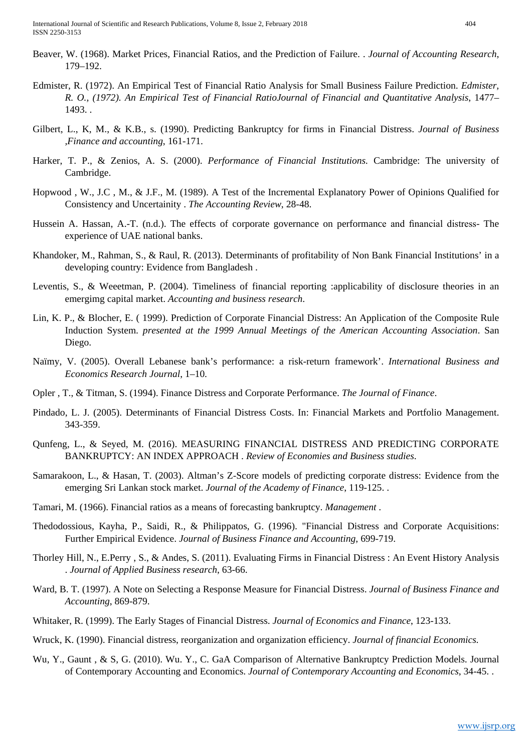International Journal of Scientific and Research Publications, Volume 8, Issue 2, February 2018 404 ISSN 2250-3153

- Beaver, W. (1968). Market Prices, Financial Ratios, and the Prediction of Failure. . *Journal of Accounting Research*, 179–192.
- Edmister, R. (1972). An Empirical Test of Financial Ratio Analysis for Small Business Failure Prediction. *Edmister, R. O., (1972). An Empirical Test of Financial RatioJournal of Financial and Quantitative Analysis*, 1477– 1493. .
- Gilbert, L., K, M., & K.B., s. (1990). Predicting Bankruptcy for firms in Financial Distress. *Journal of Business ,Finance and accounting*, 161-171.
- Harker, T. P., & Zenios, A. S. (2000). *Performance of Financial Institutions.* Cambridge: The university of Cambridge.
- Hopwood , W., J.C , M., & J.F., M. (1989). A Test of the Incremental Explanatory Power of Opinions Qualified for Consistency and Uncertainity . *The Accounting Review*, 28-48.
- Hussein A. Hassan, A.-T. (n.d.). The effects of corporate governance on performance and financial distress- The experience of UAE national banks.
- Khandoker, M., Rahman, S., & Raul, R. (2013). Determinants of profitability of Non Bank Financial Institutions' in a developing country: Evidence from Bangladesh .
- Leventis, S., & Weeetman, P. (2004). Timeliness of financial reporting :applicability of disclosure theories in an emergimg capital market. *Accounting and business research*.
- Lin, K. P., & Blocher, E. ( 1999). Prediction of Corporate Financial Distress: An Application of the Composite Rule Induction System. *presented at the 1999 Annual Meetings of the American Accounting Association*. San Diego.
- Naïmy, V. (2005). Overall Lebanese bank's performance: a risk-return framework'. *International Business and Economics Research Journal*, 1–10.
- Opler , T., & Titman, S. (1994). Finance Distress and Corporate Performance. *The Journal of Finance*.
- Pindado, L. J. (2005). Determinants of Financial Distress Costs. In: Financial Markets and Portfolio Management. 343-359.
- Qunfeng, L., & Seyed, M. (2016). MEASURING FINANCIAL DISTRESS AND PREDICTING CORPORATE BANKRUPTCY: AN INDEX APPROACH . *Review of Economies and Business studies*.
- Samarakoon, L., & Hasan, T. (2003). Altman's Z-Score models of predicting corporate distress: Evidence from the emerging Sri Lankan stock market. *Journal of the Academy of Finance*, 119-125. .
- Tamari, M. (1966). Financial ratios as a means of forecasting bankruptcy. *Management* .
- Thedodossious, Kayha, P., Saidi, R., & Philippatos, G. (1996). "Financial Distress and Corporate Acquisitions: Further Empirical Evidence. *Journal of Business Finance and Accounting*, 699-719.
- Thorley Hill, N., E.Perry , S., & Andes, S. (2011). Evaluating Firms in Financial Distress : An Event History Analysis . *Journal of Applied Business research*, 63-66.
- Ward, B. T. (1997). A Note on Selecting a Response Measure for Financial Distress. *Journal of Business Finance and Accounting*, 869-879.
- Whitaker, R. (1999). The Early Stages of Financial Distress. *Journal of Economics and Finance*, 123-133.
- Wruck, K. (1990). Financial distress, reorganization and organization efficiency. *Journal of financial Economics*.
- Wu, Y., Gaunt , & S, G. (2010). Wu. Y., C. GaA Comparison of Alternative Bankruptcy Prediction Models. Journal of Contemporary Accounting and Economics. *Journal of Contemporary Accounting and Economics*, 34-45. .